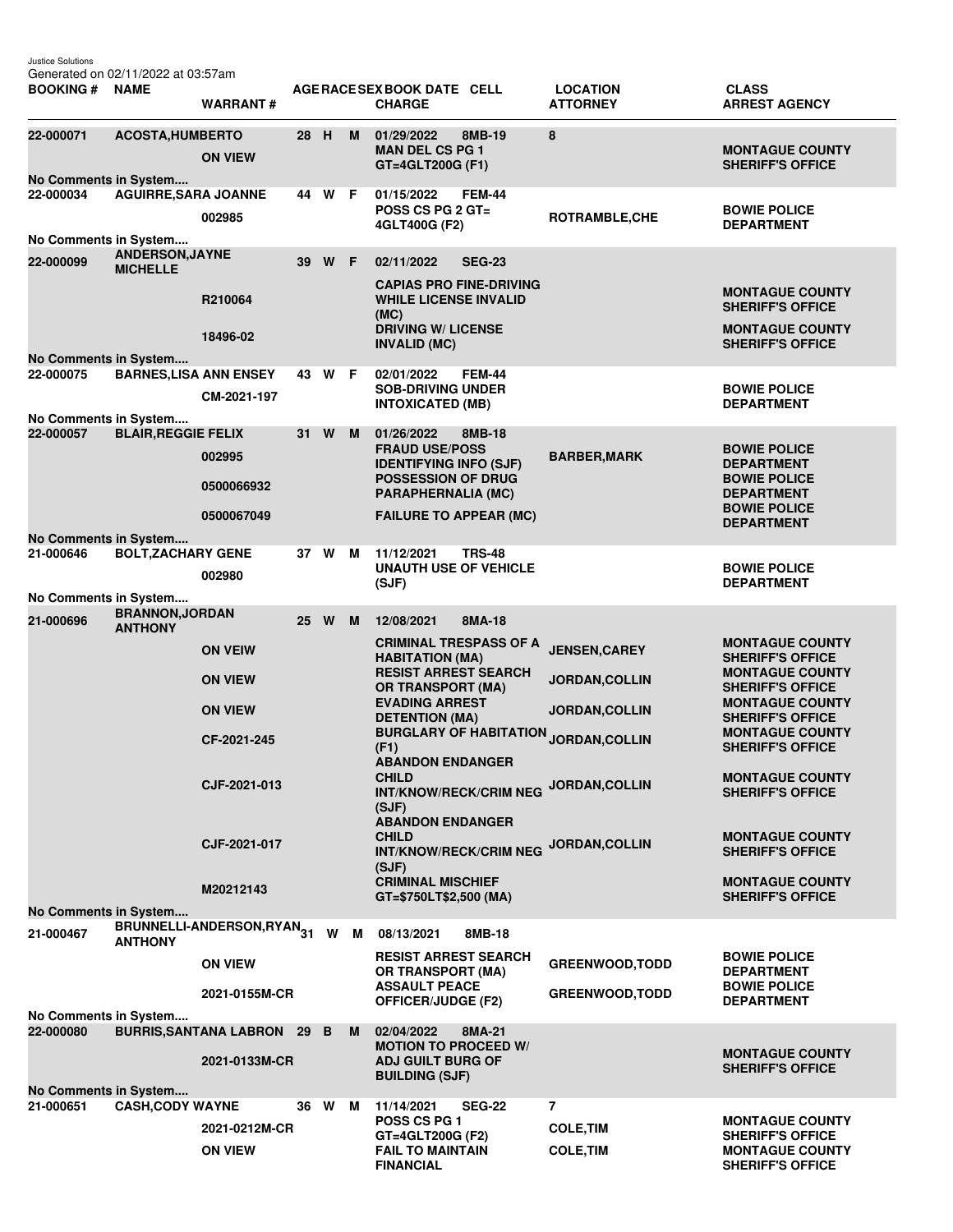| Justice Solutions<br><b>BOOKING#</b> | Generated on 02/11/2022 at 03:57am<br><b>NAME</b> |                                                     |    |        |     | AGE RACE SEX BOOK DATE CELL                                                                                                                                                                           | <b>LOCATION</b>                      | <b>CLASS</b>                                                                |
|--------------------------------------|---------------------------------------------------|-----------------------------------------------------|----|--------|-----|-------------------------------------------------------------------------------------------------------------------------------------------------------------------------------------------------------|--------------------------------------|-----------------------------------------------------------------------------|
|                                      |                                                   | <b>WARRANT#</b>                                     |    |        |     | <b>CHARGE</b>                                                                                                                                                                                         | <b>ATTORNEY</b>                      | <b>ARREST AGENCY</b>                                                        |
| 22-000071                            | <b>ACOSTA, HUMBERTO</b>                           | <b>ON VIEW</b>                                      | 28 | H      | M   | 01/29/2022<br>8MB-19<br><b>MAN DEL CS PG 1</b><br>GT=4GLT200G (F1)                                                                                                                                    | 8                                    | <b>MONTAGUE COUNTY</b><br><b>SHERIFF'S OFFICE</b>                           |
| No Comments in System<br>22-000034   | <b>AGUIRRE, SARA JOANNE</b>                       |                                                     | 44 | W F    |     | 01/15/2022<br><b>FEM-44</b>                                                                                                                                                                           |                                      |                                                                             |
|                                      |                                                   | 002985                                              |    |        |     | POSS CS PG $2$ GT=<br>4GLT400G (F2)                                                                                                                                                                   | <b>ROTRAMBLE, CHE</b>                | <b>BOWIE POLICE</b><br><b>DEPARTMENT</b>                                    |
| No Comments in System                |                                                   |                                                     |    |        |     |                                                                                                                                                                                                       |                                      |                                                                             |
| 22-000099                            | <b>ANDERSON, JAYNE</b><br><b>MICHELLE</b>         |                                                     | 39 | W F    |     | 02/11/2022<br><b>SEG-23</b><br><b>CAPIAS PRO FINE-DRIVING</b>                                                                                                                                         |                                      |                                                                             |
|                                      |                                                   | R210064                                             |    |        |     | <b>WHILE LICENSE INVALID</b><br>(MC)                                                                                                                                                                  |                                      | <b>MONTAGUE COUNTY</b><br><b>SHERIFF'S OFFICE</b>                           |
| No Comments in System                |                                                   | 18496-02                                            |    |        |     | <b>DRIVING W/ LICENSE</b><br><b>INVALID (MC)</b>                                                                                                                                                      |                                      | <b>MONTAGUE COUNTY</b><br><b>SHERIFF'S OFFICE</b>                           |
| 22-000075                            | <b>BARNES, LISA ANN ENSEY</b>                     |                                                     |    | 43 W F |     | 02/01/2022<br><b>FEM-44</b>                                                                                                                                                                           |                                      |                                                                             |
| No Comments in System                |                                                   | CM-2021-197                                         |    |        |     | <b>SOB-DRIVING UNDER</b><br><b>INTOXICATED (MB)</b>                                                                                                                                                   |                                      | <b>BOWIE POLICE</b><br><b>DEPARTMENT</b>                                    |
| 22-000057                            | <b>BLAIR, REGGIE FELIX</b>                        |                                                     | 31 | W      | M   | 01/26/2022<br>8MB-18                                                                                                                                                                                  |                                      |                                                                             |
|                                      |                                                   | 002995                                              |    |        |     | <b>FRAUD USE/POSS</b><br><b>IDENTIFYING INFO (SJF)</b>                                                                                                                                                | <b>BARBER, MARK</b>                  | <b>BOWIE POLICE</b><br><b>DEPARTMENT</b>                                    |
|                                      |                                                   | 0500066932                                          |    |        |     | <b>POSSESSION OF DRUG</b><br><b>PARAPHERNALIA (MC)</b>                                                                                                                                                |                                      | <b>BOWIE POLICE</b><br><b>DEPARTMENT</b>                                    |
| No Comments in System                |                                                   | 0500067049                                          |    |        |     | <b>FAILURE TO APPEAR (MC)</b>                                                                                                                                                                         |                                      | <b>BOWIE POLICE</b><br><b>DEPARTMENT</b>                                    |
| 21-000646                            | <b>BOLT, ZACHARY GENE</b>                         |                                                     | 37 | W      | м   | 11/12/2021<br><b>TRS-48</b>                                                                                                                                                                           |                                      |                                                                             |
|                                      |                                                   | 002980                                              |    |        |     | <b>UNAUTH USE OF VEHICLE</b><br>(SJF)                                                                                                                                                                 |                                      | <b>BOWIE POLICE</b><br><b>DEPARTMENT</b>                                    |
| No Comments in System                | <b>BRANNON, JORDAN</b>                            |                                                     |    |        |     |                                                                                                                                                                                                       |                                      |                                                                             |
| 21-000696                            | <b>ANTHONY</b>                                    |                                                     | 25 | W      | M   | 12/08/2021<br>8MA-18                                                                                                                                                                                  |                                      |                                                                             |
|                                      |                                                   | <b>ON VEIW</b>                                      |    |        |     | <b>CRIMINAL TRESPASS OF A</b><br><b>HABITATION (MA)</b><br><b>RESIST ARREST SEARCH</b><br><b>OR TRANSPORT (MA)</b><br><b>EVADING ARREST</b><br><b>DETENTION (MA)</b><br><b>BURGLARY OF HABITATION</b> | <b>JENSEN, CAREY</b>                 | <b>MONTAGUE COUNTY</b><br><b>SHERIFF'S OFFICE</b>                           |
|                                      |                                                   | <b>ON VIEW</b>                                      |    |        |     |                                                                                                                                                                                                       | JORDAN, COLLIN                       | <b>MONTAGUE COUNTY</b><br><b>SHERIFF'S OFFICE</b>                           |
|                                      |                                                   | <b>ON VIEW</b>                                      |    |        |     |                                                                                                                                                                                                       | <b>JORDAN, COLLIN</b>                | <b>MONTAGUE COUNTY</b><br><b>SHERIFF'S OFFICE</b><br><b>MONTAGUE COUNTY</b> |
|                                      |                                                   | CF-2021-245                                         |    |        |     | (F1)<br><b>ABANDON ENDANGER</b>                                                                                                                                                                       | <b>JORDAN, COLLIN</b>                | <b>SHERIFF'S OFFICE</b>                                                     |
|                                      |                                                   | CJF-2021-013                                        |    |        |     | <b>CHILD</b><br><b>INT/KNOW/RECK/CRIM NEG</b><br>(SJF)<br><b>ABANDON ENDANGER</b>                                                                                                                     | JORDAN, COLLIN                       | <b>MONTAGUE COUNTY</b><br><b>SHERIFF'S OFFICE</b>                           |
|                                      |                                                   | CJF-2021-017                                        |    |        |     | <b>CHILD</b><br><b>INT/KNOW/RECK/CRIM NEG</b><br>(SJF)                                                                                                                                                | JORDAN, COLLIN                       | <b>MONTAGUE COUNTY</b><br><b>SHERIFF'S OFFICE</b>                           |
|                                      |                                                   | M20212143                                           |    |        |     | <b>CRIMINAL MISCHIEF</b><br>GT=\$750LT\$2,500 (MA)                                                                                                                                                    |                                      | <b>MONTAGUE COUNTY</b><br><b>SHERIFF'S OFFICE</b>                           |
| No Comments in System                |                                                   | BRUNNELLI-ANDERSON,RYAN <sub>31</sub>               |    |        |     |                                                                                                                                                                                                       |                                      |                                                                             |
| 21-000467                            | <b>ANTHONY</b>                                    | <b>ON VIEW</b>                                      |    |        | W M | 08/13/2021<br>8MB-18<br><b>RESIST ARREST SEARCH</b>                                                                                                                                                   | <b>GREENWOOD, TODD</b>               | <b>BOWIE POLICE</b>                                                         |
|                                      |                                                   | 2021-0155M-CR                                       |    |        |     | <b>OR TRANSPORT (MA)</b><br><b>ASSAULT PEACE</b>                                                                                                                                                      | <b>GREENWOOD, TODD</b>               | <b>DEPARTMENT</b><br><b>BOWIE POLICE</b>                                    |
| No Comments in System                |                                                   |                                                     |    |        |     | <b>OFFICER/JUDGE (F2)</b>                                                                                                                                                                             |                                      | <b>DEPARTMENT</b>                                                           |
| 22-000080                            |                                                   | <b>BURRIS, SANTANA LABRON 29 B</b><br>2021-0133M-CR |    |        | M   | 02/04/2022<br>8MA-21<br><b>MOTION TO PROCEED W/</b><br><b>ADJ GUILT BURG OF</b>                                                                                                                       |                                      | <b>MONTAGUE COUNTY</b><br><b>SHERIFF'S OFFICE</b>                           |
| No Comments in System                |                                                   |                                                     |    |        |     | <b>BUILDING (SJF)</b>                                                                                                                                                                                 |                                      |                                                                             |
| 21-000651                            | <b>CASH, CODY WAYNE</b>                           |                                                     |    | 36 W   | M   | <b>SEG-22</b><br>11/14/2021                                                                                                                                                                           | $\overline{7}$                       |                                                                             |
|                                      |                                                   | 2021-0212M-CR<br><b>ON VIEW</b>                     |    |        |     | <b>POSS CS PG 1</b><br>GT=4GLT200G (F2)<br><b>FAIL TO MAINTAIN</b>                                                                                                                                    | <b>COLE, TIM</b><br><b>COLE, TIM</b> | <b>MONTAGUE COUNTY</b><br><b>SHERIFF'S OFFICE</b><br><b>MONTAGUE COUNTY</b> |
|                                      |                                                   |                                                     |    |        |     | <b>FINANCIAL</b>                                                                                                                                                                                      |                                      | <b>SHERIFF'S OFFICE</b>                                                     |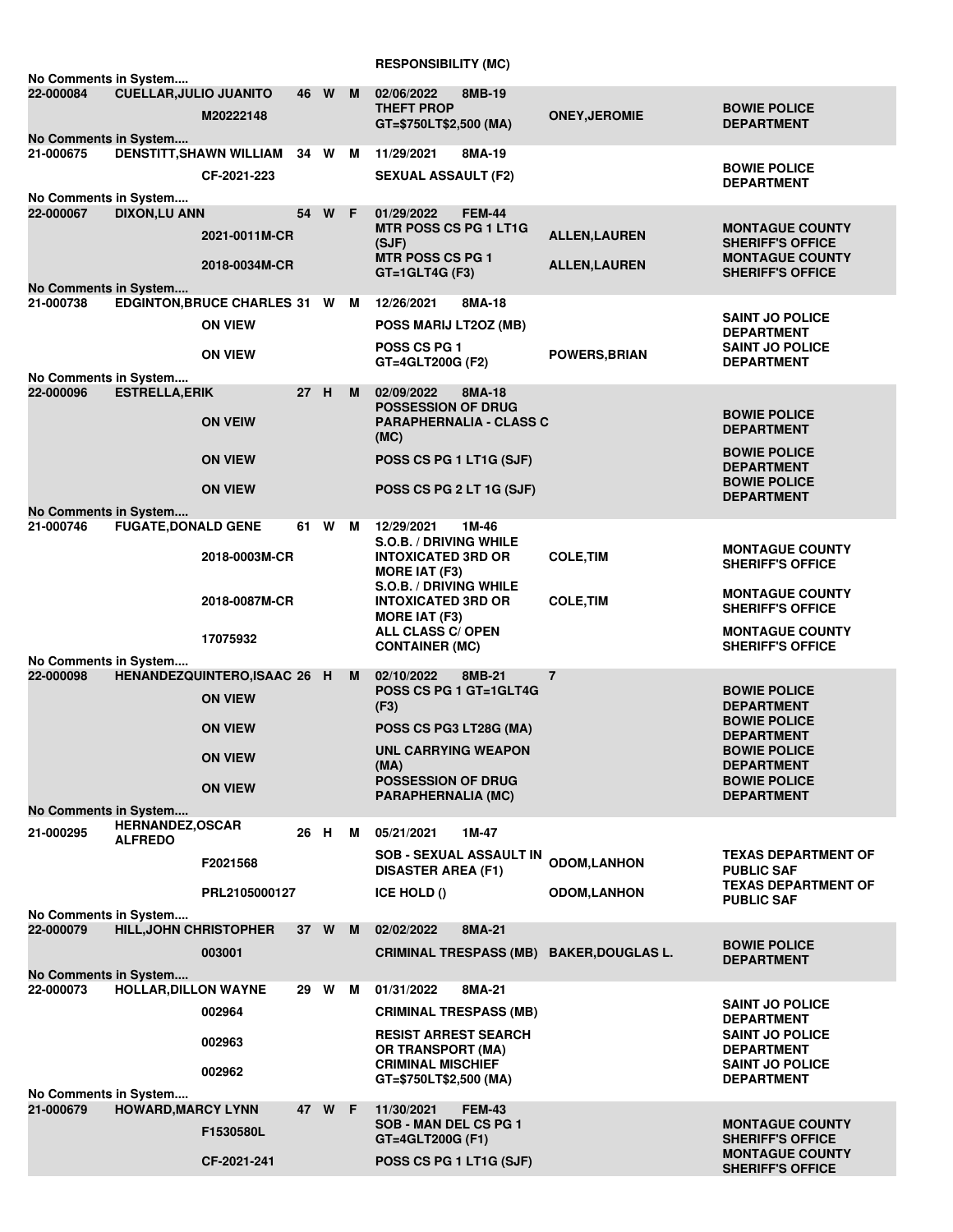| No Comments in System              |                                          |                                        |                 |        |   | <b>RESPONSIBILITY (MC)</b>                                  |                          |                                                   |  |  |
|------------------------------------|------------------------------------------|----------------------------------------|-----------------|--------|---|-------------------------------------------------------------|--------------------------|---------------------------------------------------|--|--|
| 22-000084                          | <b>CUELLAR, JULIO JUANITO</b>            |                                        | 46 W            |        | M | 02/06/2022<br>8MB-19                                        |                          |                                                   |  |  |
|                                    |                                          | M20222148                              |                 |        |   | <b>THEFT PROP</b><br>GT=\$750LT\$2,500 (MA)                 | <b>ONEY, JEROMIE</b>     | <b>BOWIE POLICE</b><br><b>DEPARTMENT</b>          |  |  |
| No Comments in System              |                                          |                                        |                 |        |   |                                                             |                          |                                                   |  |  |
| 21-000675                          |                                          | DENSTITT, SHAWN WILLIAM<br>CF-2021-223 | 34 W            |        | М | 11/29/2021<br>8MA-19<br><b>SEXUAL ASSAULT (F2)</b>          |                          | <b>BOWIE POLICE</b><br><b>DEPARTMENT</b>          |  |  |
| No Comments in System<br>22-000067 | <b>DIXON,LU ANN</b>                      |                                        | 54              | W      | F | 01/29/2022<br><b>FEM-44</b>                                 |                          |                                                   |  |  |
|                                    |                                          | 2021-0011M-CR                          |                 |        |   | <b>MTR POSS CS PG 1 LT1G</b><br>(SJF)                       | <b>ALLEN, LAUREN</b>     | <b>MONTAGUE COUNTY</b><br><b>SHERIFF'S OFFICE</b> |  |  |
|                                    |                                          | 2018-0034M-CR                          |                 |        |   | <b>MTR POSS CS PG 1</b><br>GT=1GLT4G (F3)                   | <b>ALLEN, LAUREN</b>     | <b>MONTAGUE COUNTY</b><br><b>SHERIFF'S OFFICE</b> |  |  |
| No Comments in System              |                                          |                                        |                 |        |   |                                                             |                          |                                                   |  |  |
| 21-000738                          |                                          | EDGINTON, BRUCE CHARLES 31 W           |                 |        | М | 12/26/2021<br>8MA-18                                        |                          |                                                   |  |  |
|                                    |                                          | <b>ON VIEW</b>                         |                 |        |   | POSS MARIJ LT2OZ (MB)                                       |                          | <b>SAINT JO POLICE</b><br><b>DEPARTMENT</b>       |  |  |
| No Comments in System              |                                          | <b>ON VIEW</b>                         |                 |        |   | <b>POSS CS PG 1</b><br>GT=4GLT200G (F2)                     | <b>POWERS, BRIAN</b>     | <b>SAINT JO POLICE</b><br><b>DEPARTMENT</b>       |  |  |
| 22-000096                          | <b>ESTRELLA, ERIK</b>                    |                                        | 27 <sub>2</sub> | H      | M | 02/09/2022<br>8MA-18                                        |                          |                                                   |  |  |
|                                    |                                          | <b>ON VEIW</b>                         |                 |        |   | <b>POSSESSION OF DRUG</b><br><b>PARAPHERNALIA - CLASS C</b> |                          | <b>BOWIE POLICE</b><br><b>DEPARTMENT</b>          |  |  |
|                                    |                                          | <b>ON VIEW</b>                         |                 |        |   | (MC)<br>POSS CS PG 1 LT1G (SJF)                             |                          | <b>BOWIE POLICE</b>                               |  |  |
|                                    |                                          | <b>ON VIEW</b>                         |                 |        |   | POSS CS PG 2 LT 1G (SJF)                                    |                          | <b>DEPARTMENT</b><br><b>BOWIE POLICE</b>          |  |  |
|                                    |                                          |                                        |                 |        |   |                                                             |                          | <b>DEPARTMENT</b>                                 |  |  |
| No Comments in System<br>21-000746 | <b>FUGATE, DONALD GENE</b>               |                                        | 61              | W      | M | 12/29/2021<br>1M-46                                         |                          |                                                   |  |  |
|                                    |                                          |                                        |                 |        |   | S.O.B. / DRIVING WHILE                                      |                          | <b>MONTAGUE COUNTY</b>                            |  |  |
|                                    |                                          | 2018-0003M-CR                          |                 |        |   | <b>INTOXICATED 3RD OR</b><br><b>MORE IAT (F3)</b>           | <b>COLE, TIM</b>         | <b>SHERIFF'S OFFICE</b>                           |  |  |
|                                    |                                          | 2018-0087M-CR                          |                 |        |   | S.O.B. / DRIVING WHILE<br><b>INTOXICATED 3RD OR</b>         | <b>COLE, TIM</b>         | <b>MONTAGUE COUNTY</b><br><b>SHERIFF'S OFFICE</b> |  |  |
|                                    |                                          | 17075932                               |                 |        |   | <b>MORE IAT (F3)</b><br>ALL CLASS C/ OPEN                   |                          | <b>MONTAGUE COUNTY</b>                            |  |  |
|                                    |                                          |                                        |                 |        |   | <b>CONTAINER (MC)</b>                                       |                          | <b>SHERIFF'S OFFICE</b>                           |  |  |
| No Comments in System<br>22-000098 |                                          | HENANDEZQUINTERO, ISAAC 26 H           |                 |        | M | 02/10/2022<br>8MB-21                                        | $\overline{7}$           |                                                   |  |  |
|                                    |                                          | <b>ON VIEW</b>                         |                 |        |   | <b>POSS CS PG 1 GT=1GLT4G</b><br>(F3)                       |                          | <b>BOWIE POLICE</b><br><b>DEPARTMENT</b>          |  |  |
|                                    |                                          | <b>ON VIEW</b>                         |                 |        |   | POSS CS PG3 LT28G (MA)                                      |                          | <b>BOWIE POLICE</b><br><b>DEPARTMENT</b>          |  |  |
|                                    |                                          | <b>ON VIEW</b>                         |                 |        |   | <b>UNL CARRYING WEAPON</b><br>(MA)                          |                          | <b>BOWIE POLICE</b><br><b>DEPARTMENT</b>          |  |  |
|                                    |                                          | <b>ON VIEW</b>                         |                 |        |   | POSSESSION OF DRUG<br>PARAPHERNALIA (MC)                    |                          | <b>BOWIE POLICE</b><br><b>DEPARTMENT</b>          |  |  |
| No Comments in System              |                                          |                                        |                 |        |   |                                                             |                          |                                                   |  |  |
| 21-000295                          | <b>HERNANDEZ,OSCAR</b><br><b>ALFREDO</b> |                                        | 26 H            |        | м | 05/21/2021<br>1M-47                                         |                          |                                                   |  |  |
|                                    |                                          | F2021568                               |                 |        |   | SOB - SEXUAL ASSAULT IN<br><b>DISASTER AREA (F1)</b>        | <b>ODOM,LANHON</b>       | <b>TEXAS DEPARTMENT OF</b><br><b>PUBLIC SAF</b>   |  |  |
|                                    |                                          | PRL2105000127                          |                 |        |   | <b>ICE HOLD ()</b>                                          | <b>ODOM,LANHON</b>       | <b>TEXAS DEPARTMENT OF</b><br><b>PUBLIC SAF</b>   |  |  |
| No Comments in System<br>22-000079 | <b>HILL, JOHN CHRISTOPHER</b>            |                                        | 37 W            |        | M | 02/02/2022<br>8MA-21                                        |                          |                                                   |  |  |
|                                    |                                          |                                        |                 |        |   |                                                             |                          | <b>BOWIE POLICE</b>                               |  |  |
|                                    |                                          | 003001                                 |                 |        |   | <b>CRIMINAL TRESPASS (MB)</b>                               | <b>BAKER, DOUGLAS L.</b> | <b>DEPARTMENT</b>                                 |  |  |
| No Comments in System              |                                          |                                        |                 |        |   |                                                             |                          |                                                   |  |  |
| 22-000073                          | <b>HOLLAR, DILLON WAYNE</b>              |                                        | 29 W            |        | M | 01/31/2022<br>8MA-21                                        |                          | <b>SAINT JO POLICE</b>                            |  |  |
|                                    |                                          | 002964                                 |                 |        |   | <b>CRIMINAL TRESPASS (MB)</b>                               |                          | <b>DEPARTMENT</b>                                 |  |  |
|                                    |                                          | 002963                                 |                 |        |   | <b>RESIST ARREST SEARCH</b><br><b>OR TRANSPORT (MA)</b>     |                          | <b>SAINT JO POLICE</b><br><b>DEPARTMENT</b>       |  |  |
|                                    |                                          | 002962                                 |                 |        |   | <b>CRIMINAL MISCHIEF</b><br>GT=\$750LT\$2,500 (MA)          |                          | <b>SAINT JO POLICE</b><br><b>DEPARTMENT</b>       |  |  |
| No Comments in System              |                                          |                                        |                 |        |   |                                                             |                          |                                                   |  |  |
| 21-000679                          | <b>HOWARD, MARCY LYNN</b>                |                                        |                 | 47 W F |   | 11/30/2021<br><b>FEM-43</b><br><b>SOB - MAN DEL CS PG 1</b> |                          | <b>MONTAGUE COUNTY</b>                            |  |  |
|                                    |                                          | F1530580L                              |                 |        |   | GT=4GLT200G (F1)                                            |                          | <b>SHERIFF'S OFFICE</b>                           |  |  |
|                                    |                                          | CF-2021-241                            |                 |        |   | POSS CS PG 1 LT1G (SJF)                                     |                          | <b>MONTAGUE COUNTY</b><br><b>SHERIFF'S OFFICE</b> |  |  |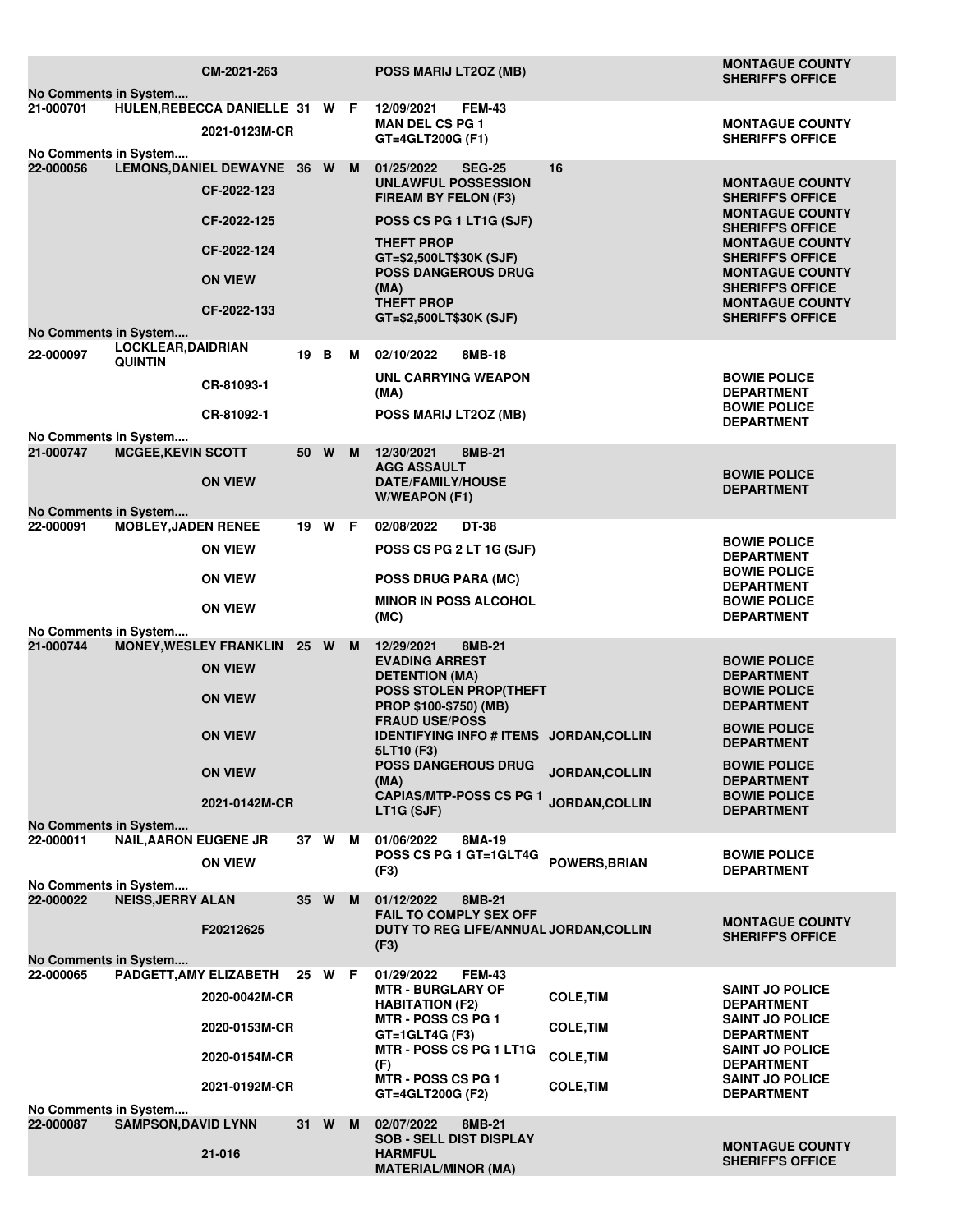|                                                                                                     |                                             | CM-2021-263                                   |      |        |          | POSS MARIJ LT2OZ (MB)                                                  |                      | <b>MONTAGUE COUNTY</b><br><b>SHERIFF'S OFFICE</b>                                                      |  |  |
|-----------------------------------------------------------------------------------------------------|---------------------------------------------|-----------------------------------------------|------|--------|----------|------------------------------------------------------------------------|----------------------|--------------------------------------------------------------------------------------------------------|--|--|
| No Comments in System<br>21-000701<br>HULEN, REBECCA DANIELLE 31 W F<br>12/09/2021<br><b>FEM-43</b> |                                             |                                               |      |        |          |                                                                        |                      |                                                                                                        |  |  |
|                                                                                                     |                                             | 2021-0123M-CR                                 |      |        |          | <b>MAN DEL CS PG 1</b><br>GT=4GLT200G (F1)                             |                      | <b>MONTAGUE COUNTY</b><br><b>SHERIFF'S OFFICE</b>                                                      |  |  |
| No Comments in System<br>22-000056                                                                  |                                             | LEMONS, DANIEL DEWAYNE 36 W                   |      |        | <b>M</b> | 01/25/2022<br><b>SEG-25</b>                                            | 16                   |                                                                                                        |  |  |
|                                                                                                     |                                             | CF-2022-123                                   |      |        |          | <b>UNLAWFUL POSSESSION</b><br><b>FIREAM BY FELON (F3)</b>              |                      | <b>MONTAGUE COUNTY</b><br><b>SHERIFF'S OFFICE</b><br><b>MONTAGUE COUNTY</b><br><b>SHERIFF'S OFFICE</b> |  |  |
|                                                                                                     |                                             | CF-2022-125                                   |      |        |          | POSS CS PG 1 LT1G (SJF)                                                |                      |                                                                                                        |  |  |
|                                                                                                     |                                             | CF-2022-124                                   |      |        |          | <b>THEFT PROP</b><br>GT=\$2,500LT\$30K (SJF)                           |                      | <b>MONTAGUE COUNTY</b><br><b>SHERIFF'S OFFICE</b>                                                      |  |  |
|                                                                                                     |                                             | <b>ON VIEW</b>                                |      |        |          | <b>POSS DANGEROUS DRUG</b><br>(MA)                                     |                      | <b>MONTAGUE COUNTY</b><br><b>SHERIFF'S OFFICE</b>                                                      |  |  |
|                                                                                                     |                                             | CF-2022-133                                   |      |        |          | <b>THEFT PROP</b><br>GT=\$2,500LT\$30K (SJF)                           |                      | <b>MONTAGUE COUNTY</b><br><b>SHERIFF'S OFFICE</b>                                                      |  |  |
| No Comments in System                                                                               |                                             |                                               |      |        |          |                                                                        |                      |                                                                                                        |  |  |
| 22-000097                                                                                           | <b>LOCKLEAR, DAIDRIAN</b><br><b>QUINTIN</b> |                                               | 19 B |        | м        | 02/10/2022<br>8MB-18                                                   |                      |                                                                                                        |  |  |
|                                                                                                     |                                             | CR-81093-1                                    |      |        |          | <b>UNL CARRYING WEAPON</b><br>(MA)                                     |                      | <b>BOWIE POLICE</b><br><b>DEPARTMENT</b>                                                               |  |  |
| No Comments in System                                                                               |                                             | CR-81092-1                                    |      |        |          | POSS MARIJ LT2OZ (MB)                                                  |                      | <b>BOWIE POLICE</b><br><b>DEPARTMENT</b>                                                               |  |  |
| 21-000747                                                                                           | <b>MCGEE, KEVIN SCOTT</b>                   |                                               |      | 50 W   | M        | 12/30/2021<br>8MB-21                                                   |                      |                                                                                                        |  |  |
|                                                                                                     |                                             | <b>ON VIEW</b>                                |      |        |          | <b>AGG ASSAULT</b><br><b>DATE/FAMILY/HOUSE</b>                         |                      | <b>BOWIE POLICE</b>                                                                                    |  |  |
|                                                                                                     |                                             |                                               |      |        |          | <b>W/WEAPON (F1)</b>                                                   |                      | <b>DEPARTMENT</b>                                                                                      |  |  |
| No Comments in System                                                                               |                                             |                                               |      |        |          |                                                                        |                      |                                                                                                        |  |  |
| 22-000091                                                                                           | <b>MOBLEY, JADEN RENEE</b>                  | <b>ON VIEW</b>                                |      | 19 W F |          | 02/08/2022<br><b>DT-38</b><br>POSS CS PG 2 LT 1G (SJF)                 |                      | <b>BOWIE POLICE</b>                                                                                    |  |  |
|                                                                                                     |                                             | <b>ON VIEW</b>                                |      |        |          | <b>POSS DRUG PARA (MC)</b>                                             |                      | <b>DEPARTMENT</b><br><b>BOWIE POLICE</b>                                                               |  |  |
|                                                                                                     |                                             |                                               |      |        |          | <b>MINOR IN POSS ALCOHOL</b>                                           |                      | <b>DEPARTMENT</b><br><b>BOWIE POLICE</b>                                                               |  |  |
|                                                                                                     |                                             | <b>ON VIEW</b>                                |      |        |          | (MC)                                                                   |                      | <b>DEPARTMENT</b>                                                                                      |  |  |
| No Comments in System<br>21-000744                                                                  |                                             |                                               |      |        | M        |                                                                        |                      |                                                                                                        |  |  |
|                                                                                                     |                                             | MONEY, WESLEY FRANKLIN 25 W<br><b>ON VIEW</b> |      |        |          | 12/29/2021<br>8MB-21<br><b>EVADING ARREST</b><br><b>DETENTION (MA)</b> |                      | <b>BOWIE POLICE</b><br><b>DEPARTMENT</b>                                                               |  |  |
|                                                                                                     |                                             | <b>ON VIEW</b>                                |      |        |          | POSS STOLEN PROP(THEFT                                                 |                      | <b>BOWIE POLICE</b>                                                                                    |  |  |
|                                                                                                     |                                             |                                               |      |        |          | PROP \$100-\$750) (MB)<br><b>FRAUD USE/POSS</b>                        |                      | <b>DEPARTMENT</b><br><b>BOWIE POLICE</b>                                                               |  |  |
|                                                                                                     |                                             | <b>ON VIEW</b>                                |      |        |          | <b>IDENTIFYING INFO # ITEMS JORDAN, COLLIN</b><br>5LT10 (F3)           |                      | <b>DEPARTMENT</b>                                                                                      |  |  |
|                                                                                                     |                                             | <b>ON VIEW</b>                                |      |        |          | POSS DANGEROUS DRUG<br>(MA)                                            | JORDAN, COLLIN       | <b>BOWIE POLICE</b><br><b>DEPARTMENT</b>                                                               |  |  |
|                                                                                                     |                                             | 2021-0142M-CR                                 |      |        |          | <b>CAPIAS/MTP-POSS CS PG 1</b><br>LT1G (SJF)                           | JORDAN, COLLIN       | <b>BOWIE POLICE</b><br><b>DEPARTMENT</b>                                                               |  |  |
| No Comments in System                                                                               |                                             |                                               |      |        |          |                                                                        |                      |                                                                                                        |  |  |
| 22-000011                                                                                           | <b>NAIL, AARON EUGENE JR</b>                | <b>ON VIEW</b>                                |      | 37 W   | м        | 01/06/2022<br>8MA-19<br><b>POSS CS PG 1 GT=1GLT4G</b>                  | <b>POWERS, BRIAN</b> | <b>BOWIE POLICE</b>                                                                                    |  |  |
| No Comments in System                                                                               |                                             |                                               |      |        |          | (F3)                                                                   |                      | <b>DEPARTMENT</b>                                                                                      |  |  |
| 22-000022                                                                                           | <b>NEISS, JERRY ALAN</b>                    |                                               |      | 35 W   | M        | 01/12/2022<br>8MB-21                                                   |                      |                                                                                                        |  |  |
|                                                                                                     |                                             |                                               |      |        |          | <b>FAIL TO COMPLY SEX OFF</b>                                          |                      | <b>MONTAGUE COUNTY</b>                                                                                 |  |  |
|                                                                                                     |                                             | F20212625                                     |      |        |          | DUTY TO REG LIFE/ANNUAL JORDAN, COLLIN                                 |                      | <b>SHERIFF'S OFFICE</b>                                                                                |  |  |
| No Comments in System                                                                               |                                             |                                               |      |        |          | (F3)                                                                   |                      |                                                                                                        |  |  |
| 22-000065                                                                                           |                                             | PADGETT, AMY ELIZABETH                        |      | 25 W F |          | 01/29/2022<br><b>FEM-43</b>                                            |                      |                                                                                                        |  |  |
|                                                                                                     |                                             | 2020-0042M-CR                                 |      |        |          | <b>MTR - BURGLARY OF</b><br><b>HABITATION (F2)</b>                     | <b>COLE, TIM</b>     | <b>SAINT JO POLICE</b><br><b>DEPARTMENT</b>                                                            |  |  |
|                                                                                                     |                                             | 2020-0153M-CR                                 |      |        |          | MTR - POSS CS PG 1<br>GT=1GLT4G (F3)                                   | <b>COLE, TIM</b>     | <b>SAINT JO POLICE</b><br><b>DEPARTMENT</b>                                                            |  |  |
|                                                                                                     |                                             | 2020-0154M-CR                                 |      |        |          | MTR - POSS CS PG 1 LT1G<br>(F)                                         | <b>COLE, TIM</b>     | <b>SAINT JO POLICE</b><br><b>DEPARTMENT</b>                                                            |  |  |
|                                                                                                     |                                             | 2021-0192M-CR                                 |      |        |          | <b>MTR - POSS CS PG 1</b><br>GT=4GLT200G (F2)                          | <b>COLE, TIM</b>     | <b>SAINT JO POLICE</b><br><b>DEPARTMENT</b>                                                            |  |  |
| No Comments in System                                                                               |                                             |                                               |      |        |          |                                                                        |                      |                                                                                                        |  |  |
| 22-000087                                                                                           | <b>SAMPSON, DAVID LYNN</b>                  |                                               |      | 31 W   | M        | 02/07/2022<br>8MB-21<br><b>SOB - SELL DIST DISPLAY</b>                 |                      |                                                                                                        |  |  |
|                                                                                                     |                                             | 21-016                                        |      |        |          | <b>HARMFUL</b>                                                         |                      | <b>MONTAGUE COUNTY</b><br><b>SHERIFF'S OFFICE</b>                                                      |  |  |
|                                                                                                     |                                             |                                               |      |        |          | <b>MATERIAL/MINOR (MA)</b>                                             |                      |                                                                                                        |  |  |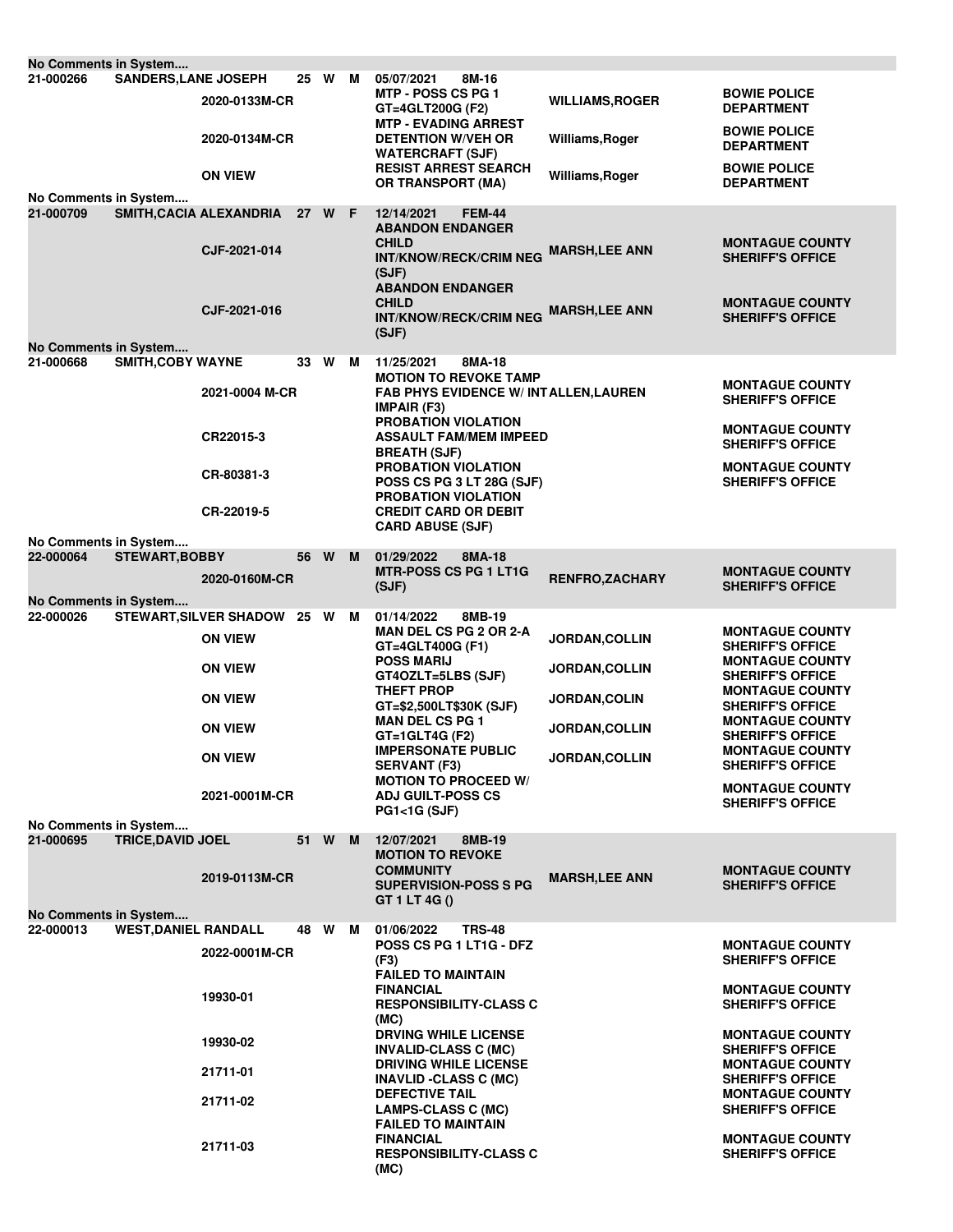| No Comments in System              |                             |                                               |      |        |   |                                                                                                       |                                               |                                                                              |
|------------------------------------|-----------------------------|-----------------------------------------------|------|--------|---|-------------------------------------------------------------------------------------------------------|-----------------------------------------------|------------------------------------------------------------------------------|
| 21-000266                          | <b>SANDERS, LANE JOSEPH</b> | 2020-0133M-CR                                 | 25 W |        | M | 05/07/2021<br>8M-16<br>MTP - POSS CS PG 1<br>GT=4GLT200G (F2)<br><b>MTP - EVADING ARREST</b>          | <b>WILLIAMS, ROGER</b>                        | <b>BOWIE POLICE</b><br><b>DEPARTMENT</b>                                     |
|                                    |                             | 2020-0134M-CR                                 |      |        |   | <b>DETENTION W/VEH OR</b><br><b>WATERCRAFT (SJF)</b>                                                  | Williams, Roger                               | <b>BOWIE POLICE</b><br><b>DEPARTMENT</b>                                     |
| No Comments in System              |                             | <b>ON VIEW</b>                                |      |        |   | <b>RESIST ARREST SEARCH</b><br><b>OR TRANSPORT (MA)</b>                                               | Williams, Roger                               | <b>BOWIE POLICE</b><br><b>DEPARTMENT</b>                                     |
| 21-000709                          | SMITH, CACIA ALEXANDRIA     |                                               |      | 27 W F |   | 12/14/2021<br><b>FEM-44</b><br><b>ABANDON ENDANGER</b>                                                |                                               |                                                                              |
|                                    |                             | CJF-2021-014                                  |      |        |   | <b>CHILD</b><br><b>INT/KNOW/RECK/CRIM NEG</b><br>(SJF)<br><b>ABANDON ENDANGER</b>                     | MARSH,LEE ANN                                 | <b>MONTAGUE COUNTY</b><br><b>SHERIFF'S OFFICE</b>                            |
|                                    |                             | CJF-2021-016                                  |      |        |   | <b>CHILD</b><br><b>INT/KNOW/RECK/CRIM NEG</b><br>(SJF)                                                | <b>MARSH, LEE ANN</b>                         | <b>MONTAGUE COUNTY</b><br><b>SHERIFF'S OFFICE</b>                            |
| No Comments in System              |                             |                                               |      |        |   |                                                                                                       |                                               |                                                                              |
| 21-000668                          | <b>SMITH, COBY WAYNE</b>    | 2021-0004 M-CR                                | 33   | W      | M | 11/25/2021<br>8MA-18<br><b>MOTION TO REVOKE TAMP</b><br><b>FAB PHYS EVIDENCE W/ INTALLEN, LAUREN</b>  |                                               | <b>MONTAGUE COUNTY</b><br><b>SHERIFF'S OFFICE</b>                            |
|                                    |                             | CR22015-3                                     |      |        |   | <b>IMPAIR (F3)</b><br><b>PROBATION VIOLATION</b><br><b>ASSAULT FAM/MEM IMPEED</b>                     |                                               | <b>MONTAGUE COUNTY</b><br><b>SHERIFF'S OFFICE</b>                            |
|                                    |                             | CR-80381-3                                    |      |        |   | <b>BREATH (SJF)</b><br>PROBATION VIOLATION<br>POSS CS PG 3 LT 28G (SJF)<br><b>PROBATION VIOLATION</b> |                                               | <b>MONTAGUE COUNTY</b><br><b>SHERIFF'S OFFICE</b>                            |
|                                    |                             | CR-22019-5                                    |      |        |   | <b>CREDIT CARD OR DEBIT</b><br><b>CARD ABUSE (SJF)</b>                                                |                                               |                                                                              |
| No Comments in System              |                             |                                               |      |        |   |                                                                                                       |                                               |                                                                              |
| 22-000064                          | <b>STEWART, BOBBY</b>       | 2020-0160M-CR                                 | 56   | W      | M | 01/29/2022<br>8MA-18<br><b>MTR-POSS CS PG 1 LT1G</b><br>(SJF)                                         | <b>RENFRO,ZACHARY</b>                         | <b>MONTAGUE COUNTY</b><br><b>SHERIFF'S OFFICE</b>                            |
| No Comments in System              |                             |                                               |      |        |   | 01/14/2022<br>8MB-19                                                                                  |                                               |                                                                              |
| 22-000026                          |                             | STEWART, SILVER SHADOW 25 W<br><b>ON VIEW</b> |      |        | м | <b>MAN DEL CS PG 2 OR 2-A</b><br>GT=4GLT400G (F1)                                                     | <b>JORDAN, COLLIN</b>                         | <b>MONTAGUE COUNTY</b><br><b>SHERIFF'S OFFICE</b>                            |
|                                    |                             | <b>ON VIEW</b>                                |      |        |   | <b>POSS MARIJ</b><br>GT4OZLT=5LBS (SJF)<br><b>THEFT PROP</b>                                          | <b>JORDAN, COLLIN</b>                         | <b>MONTAGUE COUNTY</b><br><b>SHERIFF'S OFFICE</b><br><b>MONTAGUE COUNTY</b>  |
|                                    |                             | <b>ON VIEW</b><br><b>ON VIEW</b>              |      |        |   | GT=\$2,500LT\$30K (SJF)<br><b>MAN DEL CS PG 1</b>                                                     | <b>JORDAN, COLIN</b><br><b>JORDAN, COLLIN</b> | <b>SHERIFF'S OFFICE</b><br><b>MONTAGUE COUNTY</b>                            |
|                                    |                             | <b>ON VIEW</b>                                |      |        |   | GT=1GLT4G (F2)<br><b>IMPERSONATE PUBLIC</b><br><b>SERVANT (F3)</b>                                    | JORDAN, COLLIN                                | <b>SHERIFF'S OFFICE</b><br><b>MONTAGUE COUNTY</b><br><b>SHERIFF'S OFFICE</b> |
|                                    |                             | 2021-0001M-CR                                 |      |        |   | <b>MOTION TO PROCEED W/</b><br><b>ADJ GUILT-POSS CS</b>                                               |                                               | <b>MONTAGUE COUNTY</b><br><b>SHERIFF'S OFFICE</b>                            |
|                                    |                             |                                               |      |        |   | <b>PG1&lt;1G (SJF)</b>                                                                                |                                               |                                                                              |
| No Comments in System<br>21-000695 | <b>TRICE, DAVID JOEL</b>    |                                               | 51   | W      | M | 12/07/2021<br>8MB-19<br><b>MOTION TO REVOKE</b>                                                       |                                               |                                                                              |
|                                    |                             | 2019-0113M-CR                                 |      |        |   | <b>COMMUNITY</b><br><b>SUPERVISION-POSS S PG</b><br>GT 1 LT 4G ()                                     | <b>MARSH,LEE ANN</b>                          | <b>MONTAGUE COUNTY</b><br><b>SHERIFF'S OFFICE</b>                            |
| No Comments in System              |                             |                                               |      |        |   |                                                                                                       |                                               |                                                                              |
| 22-000013                          | <b>WEST, DANIEL RANDALL</b> | 2022-0001M-CR                                 | 48   | W      | M | 01/06/2022<br><b>TRS-48</b><br>POSS CS PG 1 LT1G - DFZ<br>(F3)                                        |                                               | <b>MONTAGUE COUNTY</b><br><b>SHERIFF'S OFFICE</b>                            |
|                                    |                             | 19930-01                                      |      |        |   | <b>FAILED TO MAINTAIN</b><br><b>FINANCIAL</b><br><b>RESPONSIBILITY-CLASS C</b>                        |                                               | <b>MONTAGUE COUNTY</b><br><b>SHERIFF'S OFFICE</b>                            |
|                                    |                             | 19930-02                                      |      |        |   | (MC)<br><b>DRVING WHILE LICENSE</b><br><b>INVALID-CLASS C (MC)</b>                                    |                                               | <b>MONTAGUE COUNTY</b><br><b>SHERIFF'S OFFICE</b>                            |
|                                    |                             | 21711-01                                      |      |        |   | <b>DRIVING WHILE LICENSE</b><br><b>INAVLID -CLASS C (MC)</b>                                          |                                               | <b>MONTAGUE COUNTY</b><br><b>SHERIFF'S OFFICE</b>                            |
|                                    |                             | 21711-02                                      |      |        |   | <b>DEFECTIVE TAIL</b><br><b>LAMPS-CLASS C (MC)</b><br><b>FAILED TO MAINTAIN</b>                       |                                               | <b>MONTAGUE COUNTY</b><br><b>SHERIFF'S OFFICE</b>                            |
|                                    |                             | 21711-03                                      |      |        |   | <b>FINANCIAL</b><br><b>RESPONSIBILITY-CLASS C</b><br>(MC)                                             |                                               | <b>MONTAGUE COUNTY</b><br><b>SHERIFF'S OFFICE</b>                            |